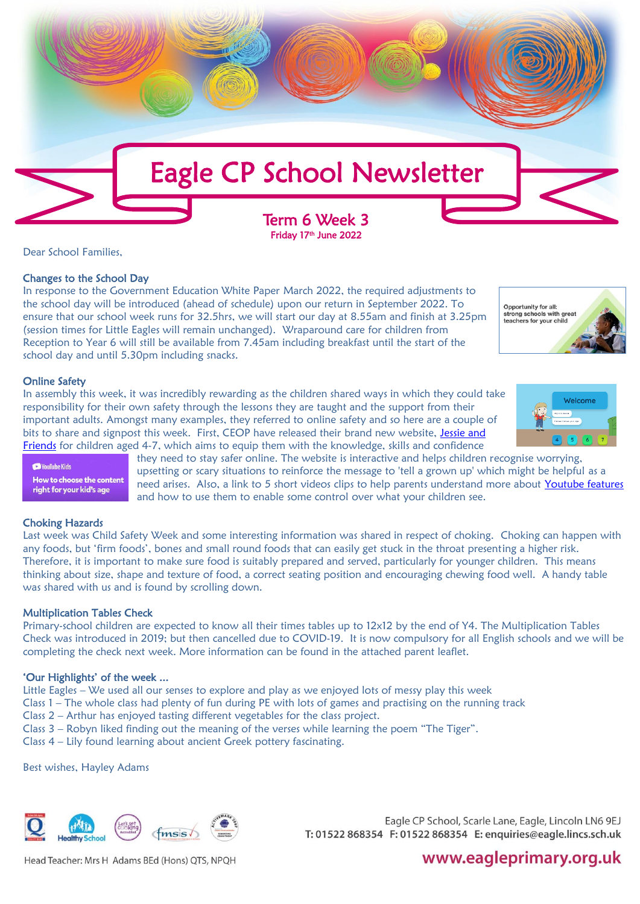

Dear School Families,

# Changes to the School Day

In response to the Government Education White Paper March 2022, the required adjustments to the school day will be introduced (ahead of schedule) upon our return in September 2022. To ensure that our school week runs for 32.5hrs, we will start our day at 8.55am and finish at 3.25pm (session times for Little Eagles will remain unchanged). Wraparound care for children from Reception to Year 6 will still be available from 7.45am including breakfast until the start of the school day and until 5.30pm including snacks.

Opportunity for all:<br>strong schools with great teachers for your child

Welcome

# Online Safety

**Ca** VouTube Kids

In assembly this week, it was incredibly rewarding as the children shared ways in which they could take responsibility for their own safety through the lessons they are taught and the support from their important adults. Amongst many examples, they referred to online safety and so here are a couple of bits to share and signpost this week. First, CEOP have released their brand new website, Jessie and [Friends](https://www.thinkuknow.co.uk/4_7) for children aged 4-7, which aims to equip them with the knowledge, skills and confidence

> they need to stay safer online. The website is interactive and helps children recognise worrying, upsetting or scary situations to reinforce the message to 'tell a grown up' which might be helpful as a need arises. Also, a link to 5 short videos clips to help parents understand more about [Youtube features](https://www.esafety-adviser.com/youtube-parental-restrictions/) and how to use them to enable some control over what your children see.

#### Choking Hazards

How to choose the content right for your kid's age

Last week was Child Safety Week and some interesting information was shared in respect of choking. Choking can happen with any foods, but 'firm foods', bones and small round foods that can easily get stuck in the throat presenting a higher risk. Therefore, it is important to make sure food is suitably prepared and served, particularly for younger children. This means thinking about size, shape and texture of food, a correct seating position and encouraging chewing food well. A handy table was shared with us and is found by scrolling down.

# Multiplication Tables Check

Primary-school children are expected to know all their times tables up to 12x12 by the end of Y4. The Multiplication Tables Check was introduced in 2019; but then cancelled due to COVID-19. It is now compulsory for all English schools and we will be completing the check next week. More information can be found in the attached parent leaflet.

# 'Our Highlights' of the week ...

Little Eagles – We used all our senses to explore and play as we enjoyed lots of messy play this week

- Class 1 The whole class had plenty of fun during PE with lots of games and practising on the running track
- Class 2 Arthur has enjoyed tasting different vegetables for the class project.
- Class 3 Robyn liked finding out the meaning of the verses while learning the poem "The Tiger".

Class 4 – Lily found learning about ancient Greek pottery fascinating.

Best wishes, Hayley Adams



Eagle CP School, Scarle Lane, Eagle, Lincoln LN6 9EJ T: 01522 868354 F: 01522 868354 E: enquiries@eagle.lincs.sch.uk

# www.eagleprimary.org.uk

Head Teacher: Mrs H Adams BEd (Hons) QTS, NPQH